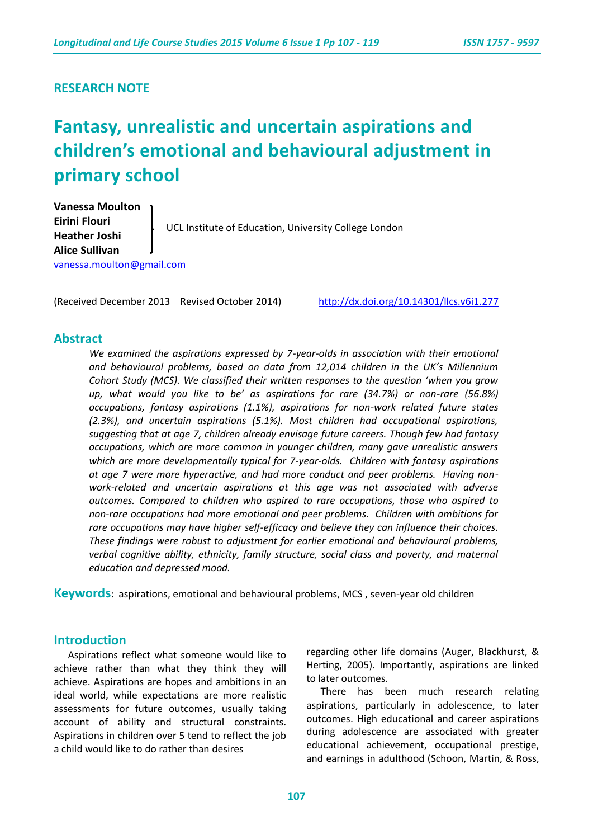### **RESEARCH NOTE**

# **Fantasy, unrealistic and uncertain aspirations and children's emotional and behavioural adjustment in primary school**

**Vanessa Moulton Eirini Flouri Heather Joshi Alice Sullivan**  [vanessa.moulton@gmail.com](mailto:vanessa.moulton@gmail.com) UCL Institute of Education, University College London

(Received December 2013 Revised October 2014) <http://dx.doi.org/10.14301/llcs.v6i1.277>

#### **Abstract**

*We examined the aspirations expressed by 7-year-olds in association with their emotional and behavioural problems, based on data from 12,014 children in the UK's Millennium Cohort Study (MCS). We classified their written responses to the question 'when you grow up, what would you like to be' as aspirations for rare (34.7%) or non-rare (56.8%) occupations, fantasy aspirations (1.1%), aspirations for non-work related future states (2.3%), and uncertain aspirations (5.1%). Most children had occupational aspirations, suggesting that at age 7, children already envisage future careers. Though few had fantasy occupations, which are more common in younger children, many gave unrealistic answers which are more developmentally typical for 7-year-olds. Children with fantasy aspirations at age 7 were more hyperactive, and had more conduct and peer problems. Having nonwork-related and uncertain aspirations at this age was not associated with adverse outcomes. Compared to children who aspired to rare occupations, those who aspired to non-rare occupations had more emotional and peer problems. Children with ambitions for rare occupations may have higher self-efficacy and believe they can influence their choices. These findings were robust to adjustment for earlier emotional and behavioural problems, verbal cognitive ability, ethnicity, family structure, social class and poverty, and maternal education and depressed mood.* 

**Keywords**: aspirations, emotional and behavioural problems, MCS , seven-year old children

#### **Introduction**

Aspirations reflect what someone would like to achieve rather than what they think they will achieve. Aspirations are hopes and ambitions in an ideal world, while expectations are more realistic assessments for future outcomes, usually taking account of ability and structural constraints. Aspirations in children over 5 tend to reflect the job a child would like to do rather than desires

regarding other life domains (Auger, Blackhurst, & Herting, 2005). Importantly, aspirations are linked to later outcomes.

There has been much research relating aspirations, particularly in adolescence, to later outcomes. High educational and career aspirations during adolescence are associated with greater educational achievement, occupational prestige, and earnings in adulthood (Schoon, Martin, & Ross,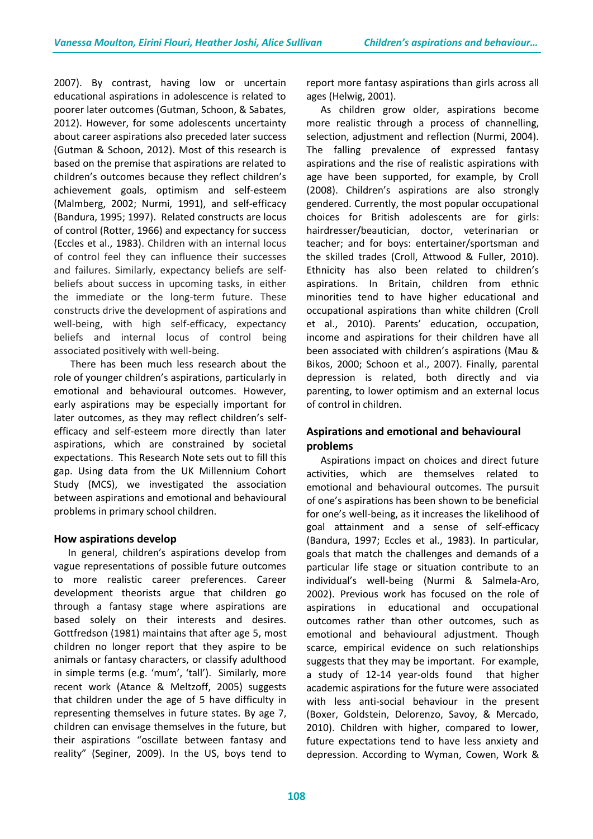2007). By contrast, having low or uncertain educational aspirations in adolescence is related to poorer later outcomes (Gutman, Schoon, & Sabates, 2012). However, for some adolescents uncertainty about career aspirations also preceded later success (Gutman & Schoon, 2012). Most of this research is based on the premise that aspirations are related to children's outcomes because they reflect children's achievement goals, optimism and self-esteem (Malmberg, 2002; Nurmi, 1991), and self-efficacy (Bandura, 1995; 1997). Related constructs are locus of control (Rotter, 1966) and expectancy for success (Eccles et al., 1983). Children with an internal locus of control feel they can influence their successes and failures. Similarly, expectancy beliefs are selfbeliefs about success in upcoming tasks, in either the immediate or the long-term future. These constructs drive the development of aspirations and well-being, with high self-efficacy, expectancy beliefs and internal locus of control being associated positively with well-being.

There has been much less research about the role of younger children's aspirations, particularly in emotional and behavioural outcomes. However, early aspirations may be especially important for later outcomes, as they may reflect children's selfefficacy and self-esteem more directly than later aspirations, which are constrained by societal expectations. This Research Note sets out to fill this gap. Using data from the UK Millennium Cohort Study (MCS), we investigated the association between aspirations and emotional and behavioural problems in primary school children.

#### **How aspirations develop**

In general, children's aspirations develop from vague representations of possible future outcomes to more realistic career preferences. Career development theorists argue that children go through a fantasy stage where aspirations are based solely on their interests and desires. Gottfredson (1981) maintains that after age 5, most children no longer report that they aspire to be animals or fantasy characters, or classify adulthood in simple terms (e.g. 'mum', 'tall'). Similarly, more recent work (Atance & Meltzoff, 2005) suggests that children under the age of 5 have difficulty in representing themselves in future states. By age 7, children can envisage themselves in the future, but their aspirations "oscillate between fantasy and reality" (Seginer, 2009). In the US, boys tend to

report more fantasy aspirations than girls across all ages (Helwig, 2001).

As children grow older, aspirations become more realistic through a process of channelling, selection, adjustment and reflection (Nurmi, 2004). The falling prevalence of expressed fantasy aspirations and the rise of realistic aspirations with age have been supported, for example, by Croll (2008). Children's aspirations are also strongly gendered. Currently, the most popular occupational choices for British adolescents are for girls: hairdresser/beautician, doctor, veterinarian or teacher; and for boys: entertainer/sportsman and the skilled trades (Croll, Attwood & Fuller, 2010). Ethnicity has also been related to children's aspirations. In Britain, children from ethnic minorities tend to have higher educational and occupational aspirations than white children (Croll et al., 2010). Parents' education, occupation, income and aspirations for their children have all been associated with children's aspirations (Mau & Bikos, 2000; Schoon et al., 2007). Finally, parental depression is related, both directly and via parenting, to lower optimism and an external locus of control in children.

## **Aspirations and emotional and behavioural problems**

Aspirations impact on choices and direct future activities, which are themselves related to emotional and behavioural outcomes. The pursuit of one's aspirations has been shown to be beneficial for one's well-being, as it increases the likelihood of goal attainment and a sense of self-efficacy (Bandura, 1997; Eccles et al., 1983). In particular, goals that match the challenges and demands of a particular life stage or situation contribute to an individual's well-being (Nurmi & Salmela-Aro, 2002). Previous work has focused on the role of aspirations in educational and occupational outcomes rather than other outcomes, such as emotional and behavioural adjustment. Though scarce, empirical evidence on such relationships suggests that they may be important. For example, a study of 12-14 year-olds found that higher academic aspirations for the future were associated with less anti-social behaviour in the present (Boxer, Goldstein, Delorenzo, Savoy, & Mercado, 2010). Children with higher, compared to lower, future expectations tend to have less anxiety and depression. According to Wyman, Cowen, Work &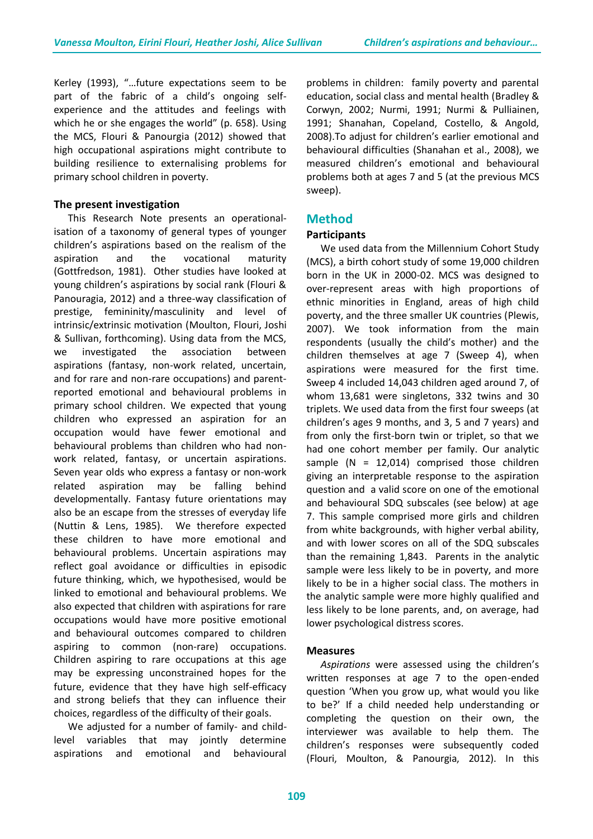Kerley (1993), "…future expectations seem to be part of the fabric of a child's ongoing selfexperience and the attitudes and feelings with which he or she engages the world" (p. 658). Using the MCS, Flouri & Panourgia (2012) showed that high occupational aspirations might contribute to building resilience to externalising problems for primary school children in poverty.

#### **The present investigation**

This Research Note presents an operationalisation of a taxonomy of general types of younger children's aspirations based on the realism of the aspiration and the vocational maturity (Gottfredson, 1981). Other studies have looked at young children's aspirations by social rank (Flouri & Panouragia, 2012) and a three-way classification of prestige, femininity/masculinity and level of intrinsic/extrinsic motivation (Moulton, Flouri, Joshi & Sullivan, forthcoming). Using data from the MCS, we investigated the association between aspirations (fantasy, non-work related, uncertain, and for rare and non-rare occupations) and parentreported emotional and behavioural problems in primary school children. We expected that young children who expressed an aspiration for an occupation would have fewer emotional and behavioural problems than children who had nonwork related, fantasy, or uncertain aspirations. Seven year olds who express a fantasy or non-work related aspiration may be falling behind developmentally. Fantasy future orientations may also be an escape from the stresses of everyday life (Nuttin & Lens, 1985). We therefore expected these children to have more emotional and behavioural problems. Uncertain aspirations may reflect goal avoidance or difficulties in episodic future thinking, which, we hypothesised, would be linked to emotional and behavioural problems. We also expected that children with aspirations for rare occupations would have more positive emotional and behavioural outcomes compared to children aspiring to common (non-rare) occupations. Children aspiring to rare occupations at this age may be expressing unconstrained hopes for the future, evidence that they have high self-efficacy and strong beliefs that they can influence their choices, regardless of the difficulty of their goals.

We adjusted for a number of family- and childlevel variables that may jointly determine aspirations and emotional and behavioural problems in children: family poverty and parental education, social class and mental health (Bradley & Corwyn, 2002; Nurmi, 1991; Nurmi & Pulliainen, 1991; Shanahan, Copeland, Costello, & Angold, 2008).To adjust for children's earlier emotional and behavioural difficulties (Shanahan et al., 2008), we measured children's emotional and behavioural problems both at ages 7 and 5 (at the previous MCS sweep).

## **Method**

#### **Participants**

We used data from the Millennium Cohort Study (MCS), a birth cohort study of some 19,000 children born in the UK in 2000-02. MCS was designed to over-represent areas with high proportions of ethnic minorities in England, areas of high child poverty, and the three smaller UK countries (Plewis, 2007). We took information from the main respondents (usually the child's mother) and the children themselves at age 7 (Sweep 4), when aspirations were measured for the first time. Sweep 4 included 14,043 children aged around 7, of whom 13,681 were singletons, 332 twins and 30 triplets. We used data from the first four sweeps (at children's ages 9 months, and 3, 5 and 7 years) and from only the first-born twin or triplet, so that we had one cohort member per family. Our analytic sample  $(N = 12,014)$  comprised those children giving an interpretable response to the aspiration question and a valid score on one of the emotional and behavioural SDQ subscales (see below) at age 7. This sample comprised more girls and children from white backgrounds, with higher verbal ability, and with lower scores on all of the SDQ subscales than the remaining 1,843. Parents in the analytic sample were less likely to be in poverty, and more likely to be in a higher social class. The mothers in the analytic sample were more highly qualified and less likely to be lone parents, and, on average, had lower psychological distress scores.

#### **Measures**

*Aspirations* were assessed using the children's written responses at age 7 to the open-ended question 'When you grow up, what would you like to be?' If a child needed help understanding or completing the question on their own, the interviewer was available to help them. The children's responses were subsequently coded (Flouri, Moulton, & Panourgia, 2012). In this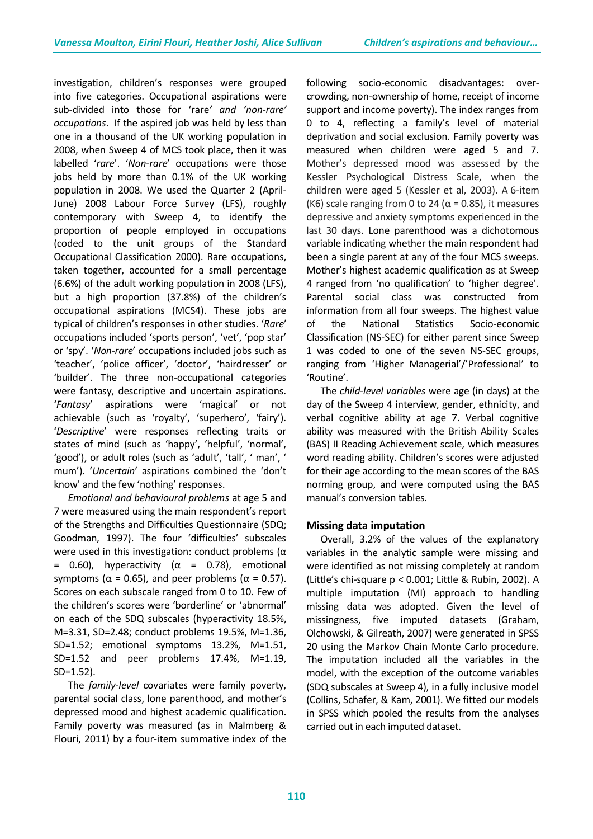investigation, children's responses were grouped into five categories. Occupational aspirations were sub-divided into those for 'rare*' and 'non-rare' occupations*. If the aspired job was held by less than one in a thousand of the UK working population in 2008, when Sweep 4 of MCS took place, then it was labelled '*rare*'. '*Non-rare*' occupations were those jobs held by more than 0.1% of the UK working population in 2008. We used the Quarter 2 (April-June) 2008 Labour Force Survey (LFS), roughly contemporary with Sweep 4, to identify the proportion of people employed in occupations (coded to the unit groups of the Standard Occupational Classification 2000). Rare occupations, taken together, accounted for a small percentage (6.6%) of the adult working population in 2008 (LFS), but a high proportion (37.8%) of the children's occupational aspirations (MCS4). These jobs are typical of children's responses in other studies. '*Rare*' occupations included 'sports person', 'vet', 'pop star' or 'spy'. '*Non-rare*' occupations included jobs such as 'teacher', 'police officer', 'doctor', 'hairdresser' or 'builder'. The three non-occupational categories were fantasy, descriptive and uncertain aspirations. '*Fantasy*' aspirations were 'magical' or not achievable (such as 'royalty', 'superhero', 'fairy'). '*Descriptive*' were responses reflecting traits or states of mind (such as 'happy', 'helpful', 'normal', 'good'), or adult roles (such as 'adult', 'tall', ' man', ' mum'). '*Uncertain*' aspirations combined the 'don't know' and the few 'nothing' responses.

*Emotional and behavioural problems* at age 5 and 7 were measured using the main respondent's report of the Strengths and Difficulties Questionnaire (SDQ; Goodman, 1997). The four 'difficulties' subscales were used in this investigation: conduct problems ( $\alpha$ )  $=$  0.60), hyperactivity (α = 0.78), emotional symptoms ( $\alpha$  = 0.65), and peer problems ( $\alpha$  = 0.57). Scores on each subscale ranged from 0 to 10. Few of the children's scores were 'borderline' or 'abnormal' on each of the SDQ subscales (hyperactivity 18.5%, M=3.31, SD=2.48; conduct problems 19.5%, M=1.36, SD=1.52; emotional symptoms 13.2%, M=1.51, SD=1.52 and peer problems 17.4%, M=1.19, SD=1.52).

The *family-level* covariates were family poverty, parental social class, lone parenthood, and mother's depressed mood and highest academic qualification. Family poverty was measured (as in Malmberg & Flouri, 2011) by a four-item summative index of the following socio-economic disadvantages: overcrowding, non-ownership of home, receipt of income support and income poverty). The index ranges from 0 to 4, reflecting a family's level of material deprivation and social exclusion. Family poverty was measured when children were aged 5 and 7. Mother's depressed mood was assessed by the Kessler Psychological Distress Scale, when the children were aged 5 (Kessler et al, 2003). A 6-item (K6) scale ranging from 0 to 24 ( $\alpha$  = 0.85), it measures depressive and anxiety symptoms experienced in the last 30 days. Lone parenthood was a dichotomous variable indicating whether the main respondent had been a single parent at any of the four MCS sweeps. Mother's highest academic qualification as at Sweep 4 ranged from 'no qualification' to 'higher degree'. Parental social class was constructed from information from all four sweeps. The highest value of the National Statistics Socio-economic Classification (NS-SEC) for either parent since Sweep 1 was coded to one of the seven NS-SEC groups, ranging from 'Higher Managerial'/'Professional' to 'Routine'.

The *child-level variables* were age (in days) at the day of the Sweep 4 interview, gender, ethnicity, and verbal cognitive ability at age 7. Verbal cognitive ability was measured with the British Ability Scales (BAS) II Reading Achievement scale, which measures word reading ability. Children's scores were adjusted for their age according to the mean scores of the BAS norming group, and were computed using the BAS manual's conversion tables.

#### **Missing data imputation**

Overall, 3.2% of the values of the explanatory variables in the analytic sample were missing and were identified as not missing completely at random (Little's chi-square p < 0.001; Little & Rubin, 2002). A multiple imputation (MI) approach to handling missing data was adopted. Given the level of missingness, five imputed datasets (Graham, Olchowski, & Gilreath, 2007) were generated in SPSS 20 using the Markov Chain Monte Carlo procedure. The imputation included all the variables in the model, with the exception of the outcome variables (SDQ subscales at Sweep 4), in a fully inclusive model (Collins, Schafer, & Kam, 2001). We fitted our models in SPSS which pooled the results from the analyses carried out in each imputed dataset.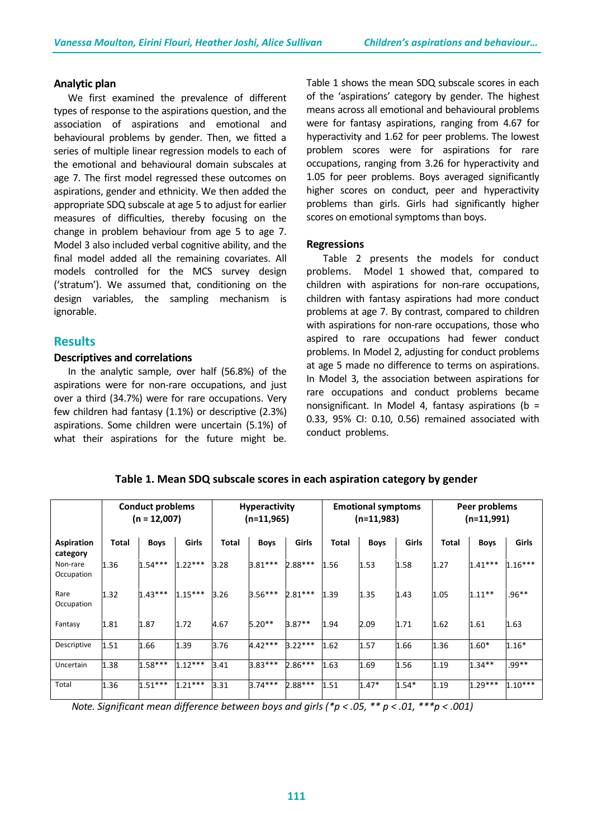#### **Analytic plan**

We first examined the prevalence of different types of response to the aspirations question, and the association of aspirations and emotional and behavioural problems by gender. Then, we fitted a series of multiple linear regression models to each of the emotional and behavioural domain subscales at age 7. The first model regressed these outcomes on aspirations, gender and ethnicity. We then added the appropriate SDQ subscale at age 5 to adjust for earlier measures of difficulties, thereby focusing on the change in problem behaviour from age 5 to age 7. Model 3 also included verbal cognitive ability, and the final model added all the remaining covariates. All models controlled for the MCS survey design ('stratum'). We assumed that, conditioning on the design variables, the sampling mechanism is ignorable.

#### **Results**

#### **Descriptives and correlations**

In the analytic sample, over half (56.8%) of the aspirations were for non-rare occupations, and just over a third (34.7%) were for rare occupations. Very few children had fantasy (1.1%) or descriptive (2.3%) aspirations. Some children were uncertain (5.1%) of what their aspirations for the future might be. Table 1 shows the mean SDQ subscale scores in each of the 'aspirations' category by gender. The highest means across all emotional and behavioural problems were for fantasy aspirations, ranging from 4.67 for hyperactivity and 1.62 for peer problems. The lowest problem scores were for aspirations for rare occupations, ranging from 3.26 for hyperactivity and 1.05 for peer problems. Boys averaged significantly higher scores on conduct, peer and hyperactivity problems than girls. Girls had significantly higher scores on emotional symptoms than boys.

#### **Regressions**

Table 2 presents the models for conduct problems. Model 1 showed that, compared to children with aspirations for non-rare occupations, children with fantasy aspirations had more conduct problems at age 7. By contrast, compared to children with aspirations for non-rare occupations, those who aspired to rare occupations had fewer conduct problems. In Model 2, adjusting for conduct problems at age 5 made no difference to terms on aspirations. In Model 3, the association between aspirations for rare occupations and conduct problems became nonsignificant. In Model 4, fantasy aspirations ( $b =$ 0.33, 95% CI: 0.10, 0.56) remained associated with conduct problems.

|                               | <b>Conduct problems</b><br>$(n = 12,007)$ |             | <b>Hyperactivity</b><br>$(n=11,965)$ |              | <b>Emotional symptoms</b><br>$(n=11,983)$ |           |       | Peer problems<br>$(n=11,991)$ |         |       |             |           |
|-------------------------------|-------------------------------------------|-------------|--------------------------------------|--------------|-------------------------------------------|-----------|-------|-------------------------------|---------|-------|-------------|-----------|
| <b>Aspiration</b><br>category | <b>Total</b>                              | <b>Boys</b> | Girls                                | <b>Total</b> | Boys                                      | Girls     | Total | <b>Boys</b>                   | Girls   | Total | <b>Boys</b> | Girls     |
| Non-rare<br>Occupation        | 1.36                                      | $1.54***$   | $1.22***$                            | 3.28         | $3.81***$                                 | $2.88***$ | 1.56  | 1.53                          | 1.58    | 1.27  | $1.41***$   | $1.16***$ |
| Rare<br>Occupation            | 1.32                                      | $1.43***$   | $1.15***$                            | 3.26         | $3.56***$                                 | $2.81***$ | 1.39  | 1.35                          | 1.43    | 1.05  | $1.11***$   | $.96***$  |
| Fantasy                       | 1.81                                      | 1.87        | 1.72                                 | 4.67         | $5.20**$                                  | $3.87**$  | 1.94  | 2.09                          | 1.71    | 1.62  | 1.61        | 1.63      |
| Descriptive                   | 1.51                                      | 1.66        | 1.39                                 | 3.76         | $4.42***$                                 | $3.22***$ | 1.62  | 1.57                          | 1.66    | 1.36  | $1.60*$     | $1.16*$   |
| Uncertain                     | 1.38                                      | $1.58***$   | $1.12***$                            | 3.41         | 3.83***                                   | $2.86***$ | 1.63  | 1.69                          | 1.56    | 1.19  | $1.34**$    | $.99**$   |
| Total                         | 1.36                                      | $1.51***$   | $1.21***$                            | 3.31         | $3.74***$                                 | $2.88***$ | 1.51  | $1.47*$                       | $1.54*$ | 1.19  | $1.29***$   | $1.10***$ |

**Table 1. Mean SDQ subscale scores in each aspiration category by gender**

*Note. Significant mean difference between boys and girls (\*p < .05, \*\* p < .01, \*\*\*p < .001)*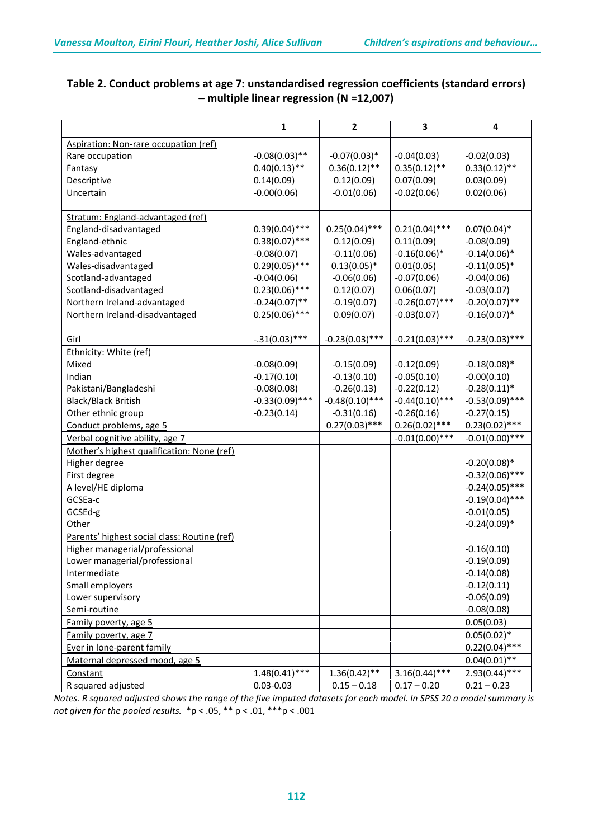|                                              | $\mathbf{1}$      | $\mathbf{2}$      | 3                 | 4                 |
|----------------------------------------------|-------------------|-------------------|-------------------|-------------------|
| Aspiration: Non-rare occupation (ref)        |                   |                   |                   |                   |
| Rare occupation                              | $-0.08(0.03)$ **  | $-0.07(0.03)*$    | $-0.04(0.03)$     | $-0.02(0.03)$     |
| Fantasy                                      | $0.40(0.13)$ **   | $0.36(0.12)$ **   | $0.35(0.12)$ **   | $0.33(0.12)$ **   |
| Descriptive                                  | 0.14(0.09)        | 0.12(0.09)        | 0.07(0.09)        | 0.03(0.09)        |
| Uncertain                                    | $-0.00(0.06)$     | $-0.01(0.06)$     | $-0.02(0.06)$     | 0.02(0.06)        |
|                                              |                   |                   |                   |                   |
| Stratum: England-advantaged (ref)            |                   |                   |                   |                   |
| England-disadvantaged                        | $0.39(0.04)$ ***  | $0.25(0.04)$ ***  | $0.21(0.04)$ ***  | $0.07(0.04)$ *    |
| England-ethnic                               | $0.38(0.07)$ ***  | 0.12(0.09)        | 0.11(0.09)        | $-0.08(0.09)$     |
| Wales-advantaged                             | $-0.08(0.07)$     | $-0.11(0.06)$     | $-0.16(0.06)$ *   | $-0.14(0.06)$ *   |
| Wales-disadvantaged                          | $0.29(0.05)$ ***  | $0.13(0.05)*$     | 0.01(0.05)        | $-0.11(0.05)$ *   |
| Scotland-advantaged                          | $-0.04(0.06)$     | $-0.06(0.06)$     | $-0.07(0.06)$     | $-0.04(0.06)$     |
| Scotland-disadvantaged                       | $0.23(0.06)$ ***  | 0.12(0.07)        | 0.06(0.07)        | $-0.03(0.07)$     |
| Northern Ireland-advantaged                  | $-0.24(0.07)$ **  | $-0.19(0.07)$     | $-0.26(0.07)$ *** | $-0.20(0.07)$ **  |
| Northern Ireland-disadvantaged               | $0.25(0.06)$ ***  | 0.09(0.07)        | $-0.03(0.07)$     | $-0.16(0.07)$ *   |
|                                              |                   |                   |                   |                   |
| Girl                                         | $-.31(0.03)$ ***  | $-0.23(0.03)$ *** | $-0.21(0.03)$ *** | $-0.23(0.03)$ *** |
| Ethnicity: White (ref)                       |                   |                   |                   |                   |
| Mixed                                        | $-0.08(0.09)$     | $-0.15(0.09)$     | $-0.12(0.09)$     | $-0.18(0.08)*$    |
| Indian                                       | $-0.17(0.10)$     | $-0.13(0.10)$     | $-0.05(0.10)$     | $-0.00(0.10)$     |
| Pakistani/Bangladeshi                        | $-0.08(0.08)$     | $-0.26(0.13)$     | $-0.22(0.12)$     | $-0.28(0.11)^*$   |
| Black/Black British                          | $-0.33(0.09)$ *** | $-0.48(0.10)$ *** | $-0.44(0.10)$ *** | $-0.53(0.09)$ *** |
| Other ethnic group                           | $-0.23(0.14)$     | $-0.31(0.16)$     | $-0.26(0.16)$     | $-0.27(0.15)$     |
| Conduct problems, age 5                      |                   | $0.27(0.03)$ ***  | $0.26(0.02)$ ***  | $0.23(0.02)$ ***  |
| Verbal cognitive ability, age 7              |                   |                   | $-0.01(0.00)$ *** | $-0.01(0.00)$ *** |
| Mother's highest qualification: None (ref)   |                   |                   |                   |                   |
| Higher degree                                |                   |                   |                   | $-0.20(0.08)*$    |
| First degree                                 |                   |                   |                   | $-0.32(0.06)$ *** |
| A level/HE diploma                           |                   |                   |                   | $-0.24(0.05)$ *** |
| GCSEa-c                                      |                   |                   |                   | $-0.19(0.04)$ *** |
| GCSEd-g                                      |                   |                   |                   | $-0.01(0.05)$     |
| Other                                        |                   |                   |                   | $-0.24(0.09)*$    |
| Parents' highest social class: Routine (ref) |                   |                   |                   |                   |
| Higher managerial/professional               |                   |                   |                   | $-0.16(0.10)$     |
| Lower managerial/professional                |                   |                   |                   | $-0.19(0.09)$     |
| Intermediate                                 |                   |                   |                   | $-0.14(0.08)$     |
| Small employers                              |                   |                   |                   | $-0.12(0.11)$     |
| Lower supervisory                            |                   |                   |                   | $-0.06(0.09)$     |
| Semi-routine                                 |                   |                   |                   | $-0.08(0.08)$     |
| Family poverty, age 5                        |                   |                   |                   | 0.05(0.03)        |
| Family poverty, age 7                        |                   |                   |                   | $0.05(0.02)*$     |
| Ever in lone-parent family                   |                   |                   |                   | $0.22(0.04)$ ***  |
| Maternal depressed mood, age 5               |                   |                   |                   | $0.04(0.01)$ **   |
| Constant                                     | $1.48(0.41)$ ***  | $1.36(0.42)$ **   | $3.16(0.44)$ ***  | $2.93(0.44)$ ***  |
| R squared adjusted                           | $0.03 - 0.03$     | $0.15 - 0.18$     | $0.17 - 0.20$     | $0.21 - 0.23$     |

# **Table 2. Conduct problems at age 7: unstandardised regression coefficients (standard errors) – multiple linear regression (N =12,007)**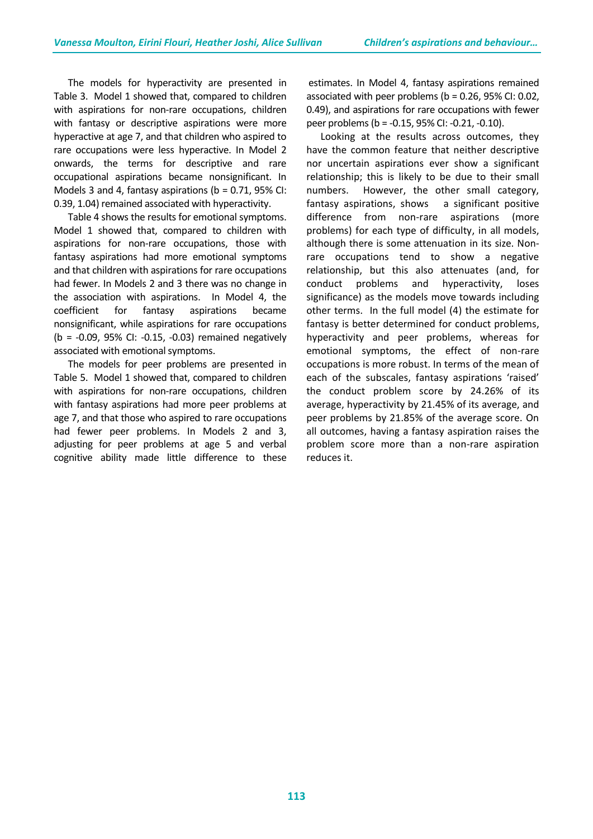The models for hyperactivity are presented in Table 3. Model 1 showed that, compared to children with aspirations for non-rare occupations, children with fantasy or descriptive aspirations were more hyperactive at age 7, and that children who aspired to rare occupations were less hyperactive. In Model 2 onwards, the terms for descriptive and rare occupational aspirations became nonsignificant. In Models 3 and 4, fantasy aspirations ( $b = 0.71$ , 95% CI: 0.39, 1.04) remained associated with hyperactivity.

Table 4 shows the results for emotional symptoms. Model 1 showed that, compared to children with aspirations for non-rare occupations, those with fantasy aspirations had more emotional symptoms and that children with aspirations for rare occupations had fewer. In Models 2 and 3 there was no change in the association with aspirations. In Model 4, the coefficient for fantasy aspirations became nonsignificant, while aspirations for rare occupations (b = -0.09, 95% CI: -0.15, -0.03) remained negatively associated with emotional symptoms.

The models for peer problems are presented in Table 5. Model 1 showed that, compared to children with aspirations for non-rare occupations, children with fantasy aspirations had more peer problems at age 7, and that those who aspired to rare occupations had fewer peer problems. In Models 2 and 3, adjusting for peer problems at age 5 and verbal cognitive ability made little difference to these

estimates. In Model 4, fantasy aspirations remained associated with peer problems ( $b = 0.26$ , 95% CI: 0.02, 0.49), and aspirations for rare occupations with fewer peer problems (b = -0.15, 95% CI: -0.21, -0.10).

Looking at the results across outcomes, they have the common feature that neither descriptive nor uncertain aspirations ever show a significant relationship; this is likely to be due to their small numbers. However, the other small category, fantasy aspirations, shows a significant positive difference from non-rare aspirations (more problems) for each type of difficulty, in all models, although there is some attenuation in its size. Nonrare occupations tend to show a negative relationship, but this also attenuates (and, for conduct problems and hyperactivity, loses significance) as the models move towards including other terms. In the full model (4) the estimate for fantasy is better determined for conduct problems, hyperactivity and peer problems, whereas for emotional symptoms, the effect of non-rare occupations is more robust. In terms of the mean of each of the subscales, fantasy aspirations 'raised' the conduct problem score by 24.26% of its average, hyperactivity by 21.45% of its average, and peer problems by 21.85% of the average score. On all outcomes, having a fantasy aspiration raises the problem score more than a non-rare aspiration reduces it.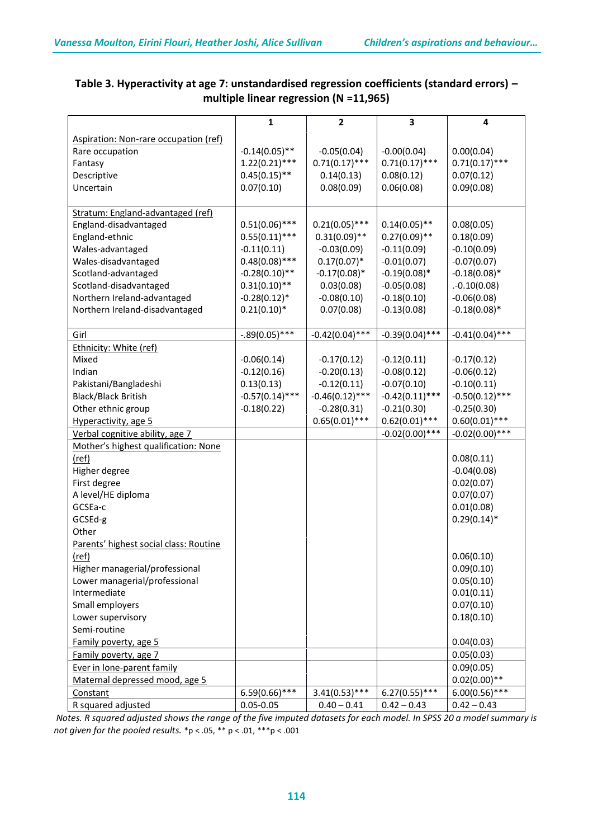|                                        | $\mathbf{1}$      | $\overline{2}$    | 3                 | 4                 |
|----------------------------------------|-------------------|-------------------|-------------------|-------------------|
| Aspiration: Non-rare occupation (ref)  |                   |                   |                   |                   |
| Rare occupation                        | $-0.14(0.05)$ **  | $-0.05(0.04)$     | $-0.00(0.04)$     | 0.00(0.04)        |
| Fantasy                                | $1.22(0.21)$ ***  | $0.71(0.17)$ ***  | $0.71(0.17)$ ***  | $0.71(0.17)$ ***  |
| Descriptive                            | $0.45(0.15)$ **   | 0.14(0.13)        | 0.08(0.12)        | 0.07(0.12)        |
| Uncertain                              | 0.07(0.10)        | 0.08(0.09)        | 0.06(0.08)        | 0.09(0.08)        |
|                                        |                   |                   |                   |                   |
| Stratum: England-advantaged (ref)      |                   |                   |                   |                   |
| England-disadvantaged                  | $0.51(0.06)$ ***  | $0.21(0.05)$ ***  | $0.14(0.05)$ **   | 0.08(0.05)        |
| England-ethnic                         | $0.55(0.11)$ ***  | $0.31(0.09)$ **   | $0.27(0.09)$ **   | 0.18(0.09)        |
| Wales-advantaged                       | $-0.11(0.11)$     | $-0.03(0.09)$     | $-0.11(0.09)$     | $-0.10(0.09)$     |
| Wales-disadvantaged                    | $0.48(0.08)$ ***  | $0.17(0.07)^*$    | $-0.01(0.07)$     | $-0.07(0.07)$     |
| Scotland-advantaged                    | $-0.28(0.10)$ **  | $-0.17(0.08)*$    | $-0.19(0.08)*$    | $-0.18(0.08)*$    |
| Scotland-disadvantaged                 | $0.31(0.10)$ **   | 0.03(0.08)        | $-0.05(0.08)$     | .0.10(0.08)       |
| Northern Ireland-advantaged            | $-0.28(0.12)$ *   | $-0.08(0.10)$     | $-0.18(0.10)$     | $-0.06(0.08)$     |
| Northern Ireland-disadvantaged         | $0.21(0.10)*$     | 0.07(0.08)        | $-0.13(0.08)$     | $-0.18(0.08)*$    |
|                                        |                   |                   |                   |                   |
| Girl                                   | $-.89(0.05)$ ***  | $-0.42(0.04)$ *** | $-0.39(0.04)$ *** | $-0.41(0.04)$ *** |
| Ethnicity: White (ref)                 |                   |                   |                   |                   |
| Mixed                                  | $-0.06(0.14)$     | $-0.17(0.12)$     | $-0.12(0.11)$     | $-0.17(0.12)$     |
| Indian                                 | $-0.12(0.16)$     | $-0.20(0.13)$     | $-0.08(0.12)$     | $-0.06(0.12)$     |
| Pakistani/Bangladeshi                  | 0.13(0.13)        | $-0.12(0.11)$     | $-0.07(0.10)$     | $-0.10(0.11)$     |
| <b>Black/Black British</b>             | $-0.57(0.14)$ *** | $-0.46(0.12)$ *** | $-0.42(0.11)$ *** | $-0.50(0.12)$ *** |
| Other ethnic group                     | $-0.18(0.22)$     | $-0.28(0.31)$     | $-0.21(0.30)$     | $-0.25(0.30)$     |
| Hyperactivity, age 5                   |                   | $0.65(0.01)$ ***  | $0.62(0.01)$ ***  | $0.60(0.01)$ ***  |
| Verbal cognitive ability, age 7        |                   |                   | $-0.02(0.00)$ *** | $-0.02(0.00)$ *** |
| Mother's highest qualification: None   |                   |                   |                   |                   |
| (ref)                                  |                   |                   |                   | 0.08(0.11)        |
| Higher degree                          |                   |                   |                   | $-0.04(0.08)$     |
| First degree                           |                   |                   |                   | 0.02(0.07)        |
| A level/HE diploma                     |                   |                   |                   | 0.07(0.07)        |
| GCSEa-c                                |                   |                   |                   | 0.01(0.08)        |
| GCSEd-g                                |                   |                   |                   | $0.29(0.14)^*$    |
| Other                                  |                   |                   |                   |                   |
| Parents' highest social class: Routine |                   |                   |                   |                   |
| (ref)                                  |                   |                   |                   | 0.06(0.10)        |
| Higher managerial/professional         |                   |                   |                   | 0.09(0.10)        |
| Lower managerial/professional          |                   |                   |                   | 0.05(0.10)        |
| Intermediate                           |                   |                   |                   | 0.01(0.11)        |
| Small employers                        |                   |                   |                   | 0.07(0.10)        |
| Lower supervisory                      |                   |                   |                   | 0.18(0.10)        |
| Semi-routine                           |                   |                   |                   |                   |
| Family poverty, age 5                  |                   |                   |                   | 0.04(0.03)        |
| Family poverty, age 7                  |                   |                   |                   | 0.05(0.03)        |
| Ever in lone-parent family             |                   |                   |                   | 0.09(0.05)        |
| Maternal depressed mood, age 5         |                   |                   |                   | $0.02(0.00)**$    |
| Constant                               | $6.59(0.66)$ ***  | $3.41(0.53)$ ***  | $6.27(0.55)$ ***  | $6.00(0.56)$ ***  |
| R squared adjusted                     | $0.05 - 0.05$     | $0.40 - 0.41$     | $0.42 - 0.43$     | $0.42 - 0.43$     |

# **Table 3. Hyperactivity at age 7: unstandardised regression coefficients (standard errors) – multiple linear regression (N =11,965)**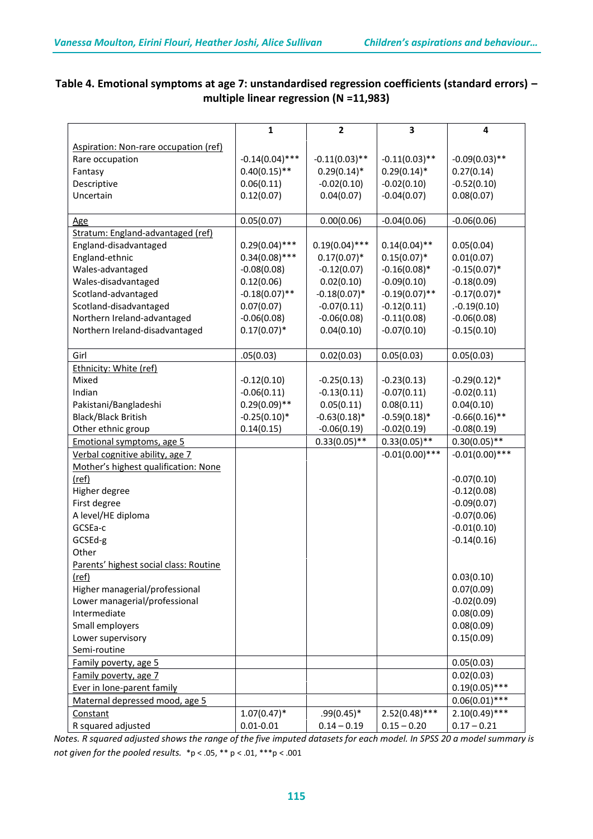|                                        | $\mathbf{1}$      | $\overline{2}$   | 3                 | 4                 |  |
|----------------------------------------|-------------------|------------------|-------------------|-------------------|--|
| Aspiration: Non-rare occupation (ref)  |                   |                  |                   |                   |  |
| Rare occupation                        | $-0.14(0.04)$ *** | $-0.11(0.03)$ ** | $-0.11(0.03)$ **  | $-0.09(0.03)$ **  |  |
| Fantasy                                | $0.40(0.15)$ **   | $0.29(0.14)$ *   | $0.29(0.14)$ *    | 0.27(0.14)        |  |
| Descriptive                            | 0.06(0.11)        | $-0.02(0.10)$    | $-0.02(0.10)$     | $-0.52(0.10)$     |  |
| Uncertain                              | 0.12(0.07)        | 0.04(0.07)       | $-0.04(0.07)$     | 0.08(0.07)        |  |
|                                        |                   |                  |                   |                   |  |
| <u>Age</u>                             | 0.05(0.07)        | 0.00(0.06)       | $-0.04(0.06)$     | $-0.06(0.06)$     |  |
| Stratum: England-advantaged (ref)      |                   |                  |                   |                   |  |
| England-disadvantaged                  | $0.29(0.04)$ ***  | $0.19(0.04)$ *** | $0.14(0.04)$ **   | 0.05(0.04)        |  |
| England-ethnic                         | $0.34(0.08)$ ***  | $0.17(0.07)^*$   | $0.15(0.07)^*$    | 0.01(0.07)        |  |
| Wales-advantaged                       | $-0.08(0.08)$     | $-0.12(0.07)$    | $-0.16(0.08)*$    | $-0.15(0.07)^*$   |  |
| Wales-disadvantaged                    | 0.12(0.06)        | 0.02(0.10)       | $-0.09(0.10)$     | $-0.18(0.09)$     |  |
| Scotland-advantaged                    | $-0.18(0.07)$ **  | $-0.18(0.07)^*$  | $-0.19(0.07)$ **  | $-0.17(0.07)$ *   |  |
| Scotland-disadvantaged                 | 0.07(0.07)        | $-0.07(0.11)$    | $-0.12(0.11)$     | $. -0.19(0.10)$   |  |
| Northern Ireland-advantaged            | $-0.06(0.08)$     | $-0.06(0.08)$    | $-0.11(0.08)$     | $-0.06(0.08)$     |  |
| Northern Ireland-disadvantaged         | $0.17(0.07)^*$    | 0.04(0.10)       | $-0.07(0.10)$     | $-0.15(0.10)$     |  |
|                                        |                   |                  |                   |                   |  |
| Girl                                   | .05(0.03)         | 0.02(0.03)       | 0.05(0.03)        | 0.05(0.03)        |  |
| Ethnicity: White (ref)                 |                   |                  |                   |                   |  |
| Mixed                                  | $-0.12(0.10)$     | $-0.25(0.13)$    | $-0.23(0.13)$     | $-0.29(0.12)$ *   |  |
| Indian                                 | $-0.06(0.11)$     | $-0.13(0.11)$    | $-0.07(0.11)$     | $-0.02(0.11)$     |  |
| Pakistani/Bangladeshi                  | $0.29(0.09)$ **   | 0.05(0.11)       | 0.08(0.11)        | 0.04(0.10)        |  |
| <b>Black/Black British</b>             | $-0.25(0.10)*$    | $-0.63(0.18)$ *  | $-0.59(0.18)$ *   | $-0.66(0.16)$ **  |  |
| Other ethnic group                     | 0.14(0.15)        | $-0.06(0.19)$    | $-0.02(0.19)$     | $-0.08(0.19)$     |  |
| Emotional symptoms, age 5              |                   | $0.33(0.05)$ **  | $0.33(0.05)$ **   | $0.30(0.05)$ **   |  |
| Verbal cognitive ability, age 7        |                   |                  | $-0.01(0.00)$ *** | $-0.01(0.00)$ *** |  |
| Mother's highest qualification: None   |                   |                  |                   |                   |  |
| (ref)                                  |                   |                  |                   | $-0.07(0.10)$     |  |
| Higher degree                          |                   |                  |                   | $-0.12(0.08)$     |  |
| First degree                           |                   |                  |                   | $-0.09(0.07)$     |  |
| A level/HE diploma                     |                   |                  |                   | $-0.07(0.06)$     |  |
| GCSEa-c                                |                   |                  |                   | $-0.01(0.10)$     |  |
| GCSEd-g                                |                   |                  |                   | $-0.14(0.16)$     |  |
| Other                                  |                   |                  |                   |                   |  |
| Parents' highest social class: Routine |                   |                  |                   |                   |  |
| (ref)                                  |                   |                  |                   | 0.03(0.10)        |  |
| Higher managerial/professional         |                   |                  |                   | 0.07(0.09)        |  |
| Lower managerial/professional          |                   |                  |                   | $-0.02(0.09)$     |  |
| Intermediate                           |                   |                  |                   | 0.08(0.09)        |  |
| Small employers                        |                   |                  |                   | 0.08(0.09)        |  |
| Lower supervisory                      |                   |                  |                   | 0.15(0.09)        |  |
| Semi-routine                           |                   |                  |                   |                   |  |
| Family poverty, age 5                  |                   |                  |                   | 0.05(0.03)        |  |
| Family poverty, age 7                  |                   |                  |                   | 0.02(0.03)        |  |
| Ever in lone-parent family             |                   |                  |                   | $0.19(0.05)$ ***  |  |
| Maternal depressed mood, age 5         |                   |                  |                   | $0.06(0.01)$ ***  |  |
| Constant                               | $1.07(0.47)^*$    | $.99(0.45)*$     | $2.52(0.48)$ ***  | $2.10(0.49)$ ***  |  |
| R squared adjusted                     | $0.01 - 0.01$     | $0.14 - 0.19$    | $0.15 - 0.20$     | $0.17 - 0.21$     |  |

# **Table 4. Emotional symptoms at age 7: unstandardised regression coefficients (standard errors) – multiple linear regression (N =11,983)**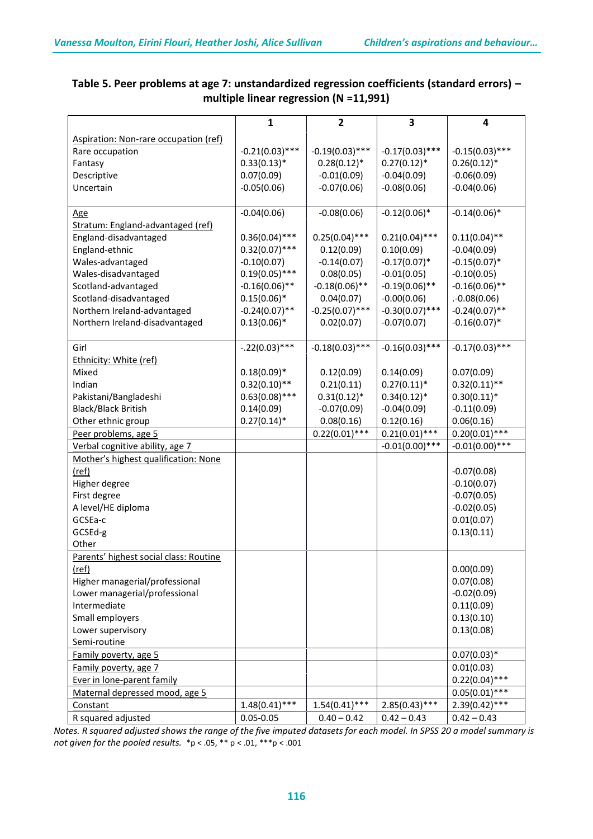|                                                                 | $\mathbf{1}$      | $\mathbf{2}$      | 3                 | 4                           |
|-----------------------------------------------------------------|-------------------|-------------------|-------------------|-----------------------------|
| Aspiration: Non-rare occupation (ref)                           |                   |                   |                   |                             |
| Rare occupation                                                 | $-0.21(0.03)$ *** | $-0.19(0.03)$ *** | $-0.17(0.03)$ *** | $-0.15(0.03)$ ***           |
| Fantasy                                                         | $0.33(0.13)*$     | $0.28(0.12)^*$    | $0.27(0.12)^*$    | $0.26(0.12)^*$              |
| Descriptive                                                     | 0.07(0.09)        | $-0.01(0.09)$     | $-0.04(0.09)$     | $-0.06(0.09)$               |
| Uncertain                                                       | $-0.05(0.06)$     | $-0.07(0.06)$     | $-0.08(0.06)$     | $-0.04(0.06)$               |
|                                                                 |                   |                   |                   |                             |
| <u>Age</u>                                                      | $-0.04(0.06)$     | $-0.08(0.06)$     | $-0.12(0.06)$ *   | $-0.14(0.06)$ *             |
| Stratum: England-advantaged (ref)                               |                   |                   |                   |                             |
| England-disadvantaged                                           | $0.36(0.04)$ ***  | $0.25(0.04)$ ***  | $0.21(0.04)$ ***  | $0.11(0.04)$ **             |
| England-ethnic                                                  | $0.32(0.07)$ ***  | 0.12(0.09)        | 0.10(0.09)        | $-0.04(0.09)$               |
| Wales-advantaged                                                | $-0.10(0.07)$     | $-0.14(0.07)$     | $-0.17(0.07)$ *   | $-0.15(0.07)$ *             |
| Wales-disadvantaged                                             | $0.19(0.05)$ ***  | 0.08(0.05)        | $-0.01(0.05)$     | $-0.10(0.05)$               |
| Scotland-advantaged                                             | $-0.16(0.06)$ **  | $-0.18(0.06)$ **  | $-0.19(0.06)$ **  | $-0.16(0.06)$ **            |
| Scotland-disadvantaged                                          | $0.15(0.06)^*$    | 0.04(0.07)        | $-0.00(0.06)$     | .0.08(0.06)                 |
| Northern Ireland-advantaged                                     | $-0.24(0.07)$ **  | $-0.25(0.07)$ *** | $-0.30(0.07)$ *** | $-0.24(0.07)$ **            |
| Northern Ireland-disadvantaged                                  | $0.13(0.06)*$     | 0.02(0.07)        | $-0.07(0.07)$     | $-0.16(0.07)$ *             |
|                                                                 |                   |                   |                   |                             |
| Girl                                                            | $-.22(0.03)***$   | $-0.18(0.03)$ *** | $-0.16(0.03)$ *** | $-0.17(0.03)$ ***           |
| Ethnicity: White (ref)                                          |                   |                   |                   |                             |
| Mixed                                                           | $0.18(0.09)*$     | 0.12(0.09)        | 0.14(0.09)        | 0.07(0.09)                  |
| Indian                                                          | $0.32(0.10)$ **   | 0.21(0.11)        | $0.27(0.11)^*$    | $0.32(0.11)$ **             |
| Pakistani/Bangladeshi                                           | $0.63(0.08)$ ***  | $0.31(0.12)^*$    | $0.34(0.12)*$     | $0.30(0.11)*$               |
| <b>Black/Black British</b>                                      | 0.14(0.09)        | $-0.07(0.09)$     | $-0.04(0.09)$     | $-0.11(0.09)$               |
| Other ethnic group                                              | $0.27(0.14)$ *    | 0.08(0.16)        | 0.12(0.16)        | 0.06(0.16)                  |
| Peer problems, age 5                                            |                   | $0.22(0.01)$ ***  | $0.21(0.01)$ ***  | $0.20(0.01)$ ***            |
| Verbal cognitive ability, age 7                                 |                   |                   | $-0.01(0.00)$ *** | $-0.01(0.00)$ ***           |
| Mother's highest qualification: None                            |                   |                   |                   |                             |
| (ref)                                                           |                   |                   |                   | $-0.07(0.08)$               |
| Higher degree                                                   |                   |                   |                   | $-0.10(0.07)$               |
| First degree                                                    |                   |                   |                   | $-0.07(0.05)$               |
| A level/HE diploma                                              |                   |                   |                   | $-0.02(0.05)$               |
| GCSEa-c                                                         |                   |                   |                   | 0.01(0.07)                  |
| GCSEd-g                                                         |                   |                   |                   | 0.13(0.11)                  |
| Other                                                           |                   |                   |                   |                             |
| Parents' highest social class: Routine                          |                   |                   |                   |                             |
| (ref)                                                           |                   |                   |                   | 0.00(0.09)<br>0.07(0.08)    |
| Higher managerial/professional<br>Lower managerial/professional |                   |                   |                   |                             |
| Intermediate                                                    |                   |                   |                   | $-0.02(0.09)$<br>0.11(0.09) |
| Small employers                                                 |                   |                   |                   | 0.13(0.10)                  |
| Lower supervisory                                               |                   |                   |                   | 0.13(0.08)                  |
| Semi-routine                                                    |                   |                   |                   |                             |
| Family poverty, age 5                                           |                   |                   |                   | $0.07(0.03)*$               |
| Family poverty, age 7                                           |                   |                   |                   | 0.01(0.03)                  |
| Ever in lone-parent family                                      |                   |                   |                   | $0.22(0.04)$ ***            |
| Maternal depressed mood, age 5                                  |                   |                   |                   | $0.05(0.01)$ ***            |
| Constant                                                        | $1.48(0.41)$ ***  | $1.54(0.41)$ ***  | $2.85(0.43)$ ***  | $2.39(0.42)$ ***            |
| R squared adjusted                                              | $0.05 - 0.05$     | $0.40 - 0.42$     | $0.42 - 0.43$     | $0.42 - 0.43$               |
|                                                                 |                   |                   |                   |                             |

# **Table 5. Peer problems at age 7: unstandardized regression coefficients (standard errors) – multiple linear regression (N =11,991)**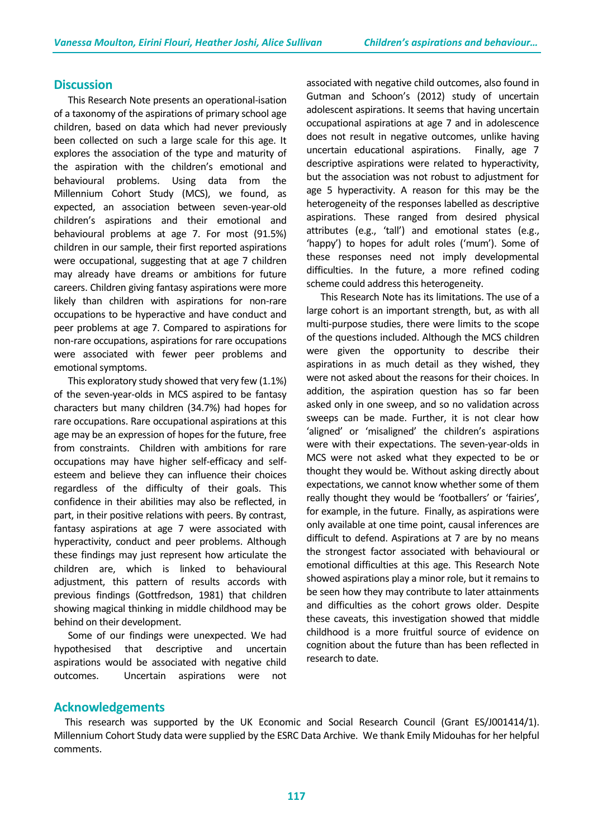#### **Discussion**

This Research Note presents an operational-isation of a taxonomy of the aspirations of primary school age children, based on data which had never previously been collected on such a large scale for this age. It explores the association of the type and maturity of the aspiration with the children's emotional and behavioural problems. Using data from the Millennium Cohort Study (MCS), we found, as expected, an association between seven-year-old children's aspirations and their emotional and behavioural problems at age 7. For most (91.5%) children in our sample, their first reported aspirations were occupational, suggesting that at age 7 children may already have dreams or ambitions for future careers. Children giving fantasy aspirations were more likely than children with aspirations for non-rare occupations to be hyperactive and have conduct and peer problems at age 7. Compared to aspirations for non-rare occupations, aspirations for rare occupations were associated with fewer peer problems and emotional symptoms.

This exploratory study showed that very few (1.1%) of the seven-year-olds in MCS aspired to be fantasy characters but many children (34.7%) had hopes for rare occupations. Rare occupational aspirations at this age may be an expression of hopes for the future, free from constraints. Children with ambitions for rare occupations may have higher self-efficacy and selfesteem and believe they can influence their choices regardless of the difficulty of their goals. This confidence in their abilities may also be reflected, in part, in their positive relations with peers. By contrast, fantasy aspirations at age 7 were associated with hyperactivity, conduct and peer problems. Although these findings may just represent how articulate the children are, which is linked to behavioural adjustment, this pattern of results accords with previous findings (Gottfredson, 1981) that children showing magical thinking in middle childhood may be behind on their development.

Some of our findings were unexpected. We had hypothesised that descriptive and uncertain aspirations would be associated with negative child outcomes. Uncertain aspirations were not

associated with negative child outcomes, also found in Gutman and Schoon's (2012) study of uncertain adolescent aspirations. It seems that having uncertain occupational aspirations at age 7 and in adolescence does not result in negative outcomes, unlike having uncertain educational aspirations. Finally, age 7 descriptive aspirations were related to hyperactivity, but the association was not robust to adjustment for age 5 hyperactivity. A reason for this may be the heterogeneity of the responses labelled as descriptive aspirations. These ranged from desired physical attributes (e.g., 'tall') and emotional states (e.g., 'happy') to hopes for adult roles ('mum'). Some of these responses need not imply developmental difficulties. In the future, a more refined coding scheme could address this heterogeneity.

This Research Note has its limitations. The use of a large cohort is an important strength, but, as with all multi-purpose studies, there were limits to the scope of the questions included. Although the MCS children were given the opportunity to describe their aspirations in as much detail as they wished, they were not asked about the reasons for their choices. In addition, the aspiration question has so far been asked only in one sweep, and so no validation across sweeps can be made. Further, it is not clear how 'aligned' or 'misaligned' the children's aspirations were with their expectations. The seven-year-olds in MCS were not asked what they expected to be or thought they would be. Without asking directly about expectations, we cannot know whether some of them really thought they would be 'footballers' or 'fairies', for example, in the future. Finally, as aspirations were only available at one time point, causal inferences are difficult to defend. Aspirations at 7 are by no means the strongest factor associated with behavioural or emotional difficulties at this age. This Research Note showed aspirations play a minor role, but it remains to be seen how they may contribute to later attainments and difficulties as the cohort grows older. Despite these caveats, this investigation showed that middle childhood is a more fruitful source of evidence on cognition about the future than has been reflected in research to date.

## **Acknowledgements**

This research was supported by the UK Economic and Social Research Council (Grant ES/J001414/1). Millennium Cohort Study data were supplied by the ESRC Data Archive. We thank Emily Midouhas for her helpful comments.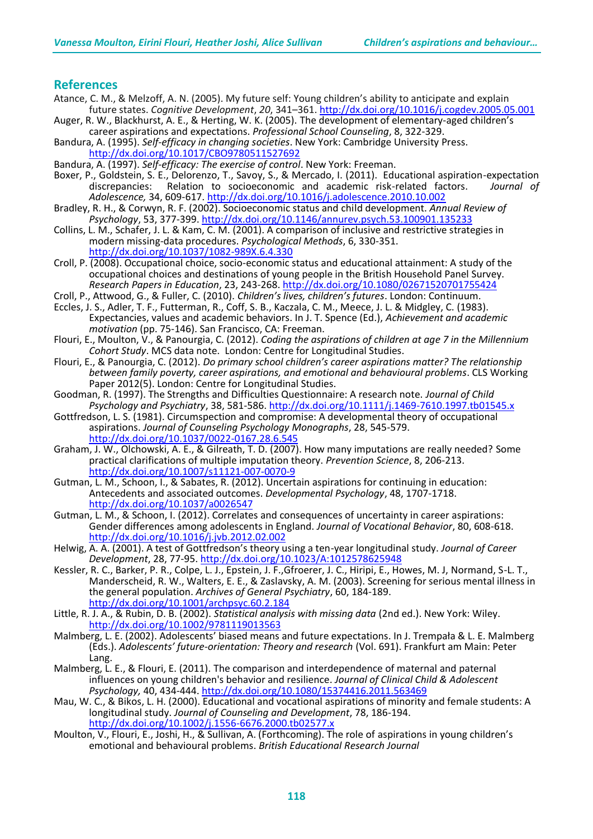#### **References**

- Atance, C. M., & Melzoff, A. N. (2005). My future self: Young children's ability to anticipate and explain future states. *Cognitive Development*, *20*, 341–361. <http://dx.doi.org/10.1016/j.cogdev.2005.05.001>
- Auger, R. W., Blackhurst, A. E., & Herting, W. K. (2005). The development of elementary-aged children's career aspirations and expectations. *Professional School Counseling*, 8, 322-329.
- Bandura, A. (1995). *Self-efficacy in changing societies*. New York: Cambridge University Press. <http://dx.doi.org/10.1017/CBO9780511527692>
- Bandura, A. (1997). *Self-efficacy: The exercise of control*. New York: Freeman.
- Boxer, P., Goldstein, S. E., Delorenzo, T., Savoy, S., & Mercado, I. (2011). Educational aspiration-expectation<br>discrepancies: Relation to socioeconomic and academic risk-related factors. Journal of Relation to socioeconomic and academic risk-related factors. *Adolescence,* 34, 609-617.<http://dx.doi.org/10.1016/j.adolescence.2010.10.002>
- Bradley, R. H., & Corwyn, R. F. (2002). Socioeconomic status and child development. *Annual Review of Psychology*, 53, 377-399. <http://dx.doi.org/10.1146/annurev.psych.53.100901.135233>
- Collins, L. M., Schafer, J. L. & Kam, C. M. (2001). A comparison of inclusive and restrictive strategies in modern missing-data procedures. *Psychological Methods*, 6, 330-351. <http://dx.doi.org/10.1037/1082-989X.6.4.330>
- Croll, P. (2008). Occupational choice, socio-economic status and educational attainment: A study of the occupational choices and destinations of young people in the British Household Panel Survey. *Research Papers in Education*, 23, 243-268. <http://dx.doi.org/10.1080/02671520701755424>
- Croll, P., Attwood, G., & Fuller, C. (2010). *Children's lives, children's futures*. London: Continuum.
- Eccles, J. S., Adler, T. F., Futterman, R., Coff, S. B., Kaczala, C. M., Meece, J. L. & Midgley, C. (1983). Expectancies, values and academic behaviors. In J. T. Spence (Ed.), *Achievement and academic motivation* (pp. 75-146). San Francisco, CA: Freeman.
- Flouri, E., Moulton, V., & Panourgia, C. (2012). *Coding the aspirations of children at age 7 in the Millennium Cohort Study*. MCS data note. London: Centre for Longitudinal Studies.
- Flouri, E., & Panourgia, C. (2012). *Do primary school children's career aspirations matter? The relationship between family poverty, career aspirations, and emotional and behavioural problems*. CLS Working Paper 2012(5). London: Centre for Longitudinal Studies.
- Goodman, R. (1997). The Strengths and Difficulties Questionnaire: A research note. *Journal of Child Psychology and Psychiatry*, 38, 581-586. <http://dx.doi.org/10.1111/j.1469-7610.1997.tb01545.x>
- Gottfredson, L. S. (1981). Circumspection and compromise: A developmental theory of occupational aspirations. *Journal of Counseling Psychology Monographs*, 28, 545-579. <http://dx.doi.org/10.1037/0022-0167.28.6.545>
- Graham, J. W., Olchowski, A. E., & Gilreath, T. D. (2007). How many imputations are really needed? Some practical clarifications of multiple imputation theory. *Prevention Science*, 8, 206-213. <http://dx.doi.org/10.1007/s11121-007-0070-9>
- Gutman, L. M., Schoon, I., & Sabates, R. (2012). Uncertain aspirations for continuing in education: Antecedents and associated outcomes. *Developmental Psychology*, 48, 1707-1718. <http://dx.doi.org/10.1037/a0026547>
- Gutman, L. M., & Schoon, I. (2012). Correlates and consequences of uncertainty in career aspirations: Gender differences among adolescents in England. *Journal of Vocational Behavior*, 80, 608-618. <http://dx.doi.org/10.1016/j.jvb.2012.02.002>
- Helwig, A. A. (2001). A test of Gottfredson's theory using a ten-year longitudinal study. *Journal of Career Development*, 28, 77-95. <http://dx.doi.org/10.1023/A:1012578625948>
- Kessler, R. C., Barker, P. R., Colpe, L. J., Epstein, J. F.,Gfroerer, J. C., Hiripi, E., Howes, M. J, Normand, S-L. T., Manderscheid, R. W., Walters, E. E., & Zaslavsky, A. M. (2003). Screening for serious mental illness in the general population. *Archives of General Psychiatry*, 60, 184-189. <http://dx.doi.org/10.1001/archpsyc.60.2.184>
- Little, R. J. A., & Rubin, D. B. (2002). *Statistical analysis with missing data* (2nd ed.). New York: Wiley. <http://dx.doi.org/10.1002/9781119013563>
- Malmberg, L. E. (2002). Adolescents' biased means and future expectations. In J. Trempała & L. E. Malmberg (Eds.). *Adolescents' future-orientation: Theory and research* (Vol. 691). Frankfurt am Main: Peter Lang.
- Malmberg, L. E., & Flouri, E. (2011). [The comparison and interdependence of maternal and paternal](http://0-www.tandfonline.com.catalogue.ulrls.lon.ac.uk/doi/full/10.1080/15374416.2011.563469)  [influences on young children's behavior and resilience.](http://0-www.tandfonline.com.catalogue.ulrls.lon.ac.uk/doi/full/10.1080/15374416.2011.563469) *[Journal of Clinical Child & Adolescent](http://0-www.tandfonline.com.catalogue.ulrls.lon.ac.uk/toc/hcap20/current)  [Psychology,](http://0-www.tandfonline.com.catalogue.ulrls.lon.ac.uk/toc/hcap20/current)* 40, 434-444. <http://dx.doi.org/10.1080/15374416.2011.563469>
- Mau, W. C., & Bikos, L. H. (2000). Educational and vocational aspirations of minority and female students: A longitudinal study. *Journal of Counseling and Development*, 78, 186-194. <http://dx.doi.org/10.1002/j.1556-6676.2000.tb02577.x>
- Moulton, V., Flouri, E., Joshi, H., & Sullivan, A. (Forthcoming). The role of aspirations in young children's emotional and behavioural problems. *British Educational Research Journal*